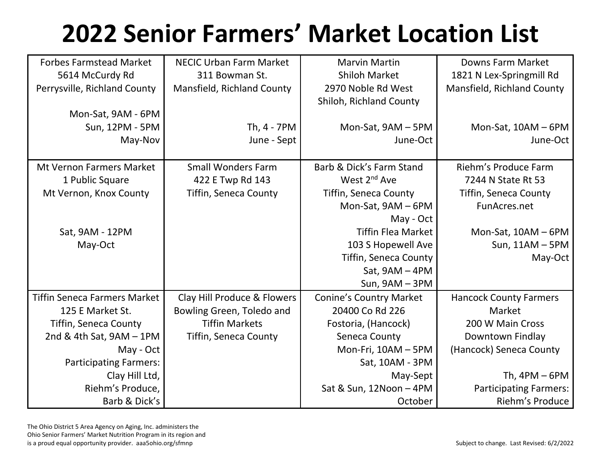## **2022 Senior Farmers' Market Location List**

| <b>Forbes Farmstead Market</b>      | <b>NECIC Urban Farm Market</b> | <b>Marvin Martin</b>           | <b>Downs Farm Market</b>      |
|-------------------------------------|--------------------------------|--------------------------------|-------------------------------|
| 5614 McCurdy Rd                     | 311 Bowman St.                 | <b>Shiloh Market</b>           | 1821 N Lex-Springmill Rd      |
| Perrysville, Richland County        | Mansfield, Richland County     | 2970 Noble Rd West             | Mansfield, Richland County    |
|                                     |                                | Shiloh, Richland County        |                               |
| Mon-Sat, 9AM - 6PM                  |                                |                                |                               |
| Sun, 12PM - 5PM                     | Th, 4 - 7PM                    | Mon-Sat, 9AM - 5PM             | Mon-Sat, 10AM - 6PM           |
| May-Nov                             | June - Sept                    | June-Oct                       | June-Oct                      |
|                                     |                                |                                |                               |
| <b>Mt Vernon Farmers Market</b>     | <b>Small Wonders Farm</b>      | Barb & Dick's Farm Stand       | Riehm's Produce Farm          |
| 1 Public Square                     | 422 E Twp Rd 143               | West 2 <sup>nd</sup> Ave       | 7244 N State Rt 53            |
| Mt Vernon, Knox County              | Tiffin, Seneca County          | <b>Tiffin, Seneca County</b>   | <b>Tiffin, Seneca County</b>  |
|                                     |                                | Mon-Sat, 9AM - 6PM             | FunAcres.net                  |
|                                     |                                | May - Oct                      |                               |
| Sat, 9AM - 12PM                     |                                | <b>Tiffin Flea Market</b>      | Mon-Sat, 10AM - 6PM           |
| May-Oct                             |                                | 103 S Hopewell Ave             | Sun, 11AM - 5PM               |
|                                     |                                | <b>Tiffin, Seneca County</b>   | May-Oct                       |
|                                     |                                | Sat, $9AM - 4PM$               |                               |
|                                     |                                | Sun, $9AM - 3PM$               |                               |
| <b>Tiffin Seneca Farmers Market</b> | Clay Hill Produce & Flowers    | <b>Conine's Country Market</b> | <b>Hancock County Farmers</b> |
| 125 E Market St.                    | Bowling Green, Toledo and      | 20400 Co Rd 226                | Market                        |
| <b>Tiffin, Seneca County</b>        | <b>Tiffin Markets</b>          | Fostoria, (Hancock)            | 200 W Main Cross              |
| 2nd & 4th Sat, $9AM - 1PM$          | <b>Tiffin, Seneca County</b>   | Seneca County                  | Downtown Findlay              |
| May - Oct                           |                                | Mon-Fri, 10AM - 5PM            | (Hancock) Seneca County       |
| <b>Participating Farmers:</b>       |                                | Sat, 10AM - 3PM                |                               |
| Clay Hill Ltd,                      |                                | May-Sept                       | Th, $4PM - 6PM$               |
| Riehm's Produce,                    |                                | Sat & Sun, 12Noon - 4PM        | <b>Participating Farmers:</b> |
| Barb & Dick's                       |                                | October                        | Riehm's Produce               |